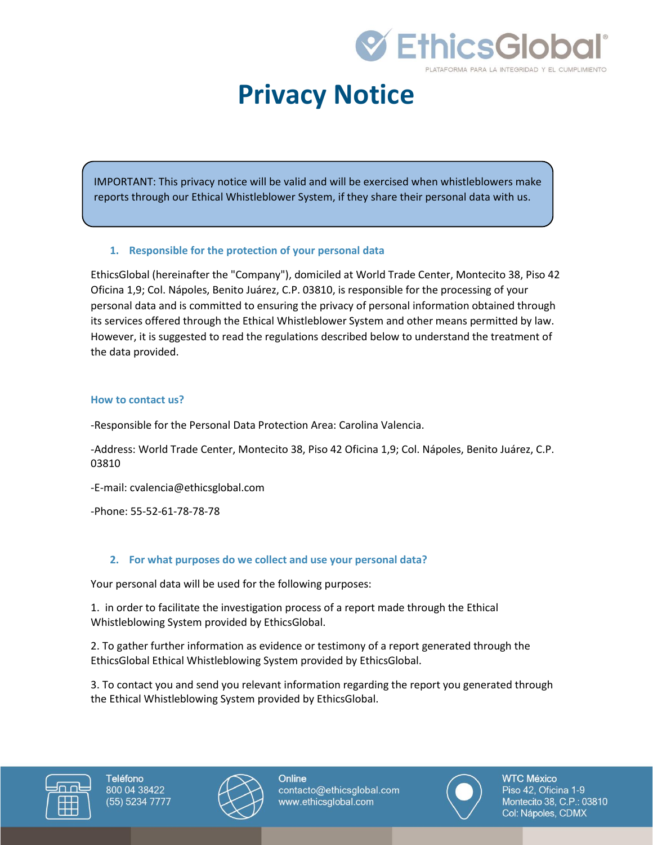

# **Privacy Notice**

IMPORTANT: This privacy notice will be valid and will be exercised when whistleblowers make reports through our Ethical Whistleblower System, if they share their personal data with us.

#### **1. Responsible for the protection of your personal data**

EthicsGlobal (hereinafter the "Company"), domiciled at World Trade Center, Montecito 38, Piso 42 Oficina 1,9; Col. Nápoles, Benito Juárez, C.P. 03810, is responsible for the processing of your personal data and is committed to ensuring the privacy of personal information obtained through its services offered through the Ethical Whistleblower System and other means permitted by law. However, it is suggested to read the regulations described below to understand the treatment of the data provided.

#### **How to contact us?**

-Responsible for the Personal Data Protection Area: Carolina Valencia.

-Address: World Trade Center, Montecito 38, Piso 42 Oficina 1,9; Col. Nápoles, Benito Juárez, C.P. 03810

-E-mail: cvalencia@ethicsglobal.com

-Phone: 55-52-61-78-78-78

### **2. For what purposes do we collect and use your personal data?**

Your personal data will be used for the following purposes:

1. in order to facilitate the investigation process of a report made through the Ethical Whistleblowing System provided by EthicsGlobal.

2. To gather further information as evidence or testimony of a report generated through the EthicsGlobal Ethical Whistleblowing System provided by EthicsGlobal.

3. To contact you and send you relevant information regarding the report you generated through the Ethical Whistleblowing System provided by EthicsGlobal.





Online contacto@ethicsglobal.com www.ethicsglobal.com

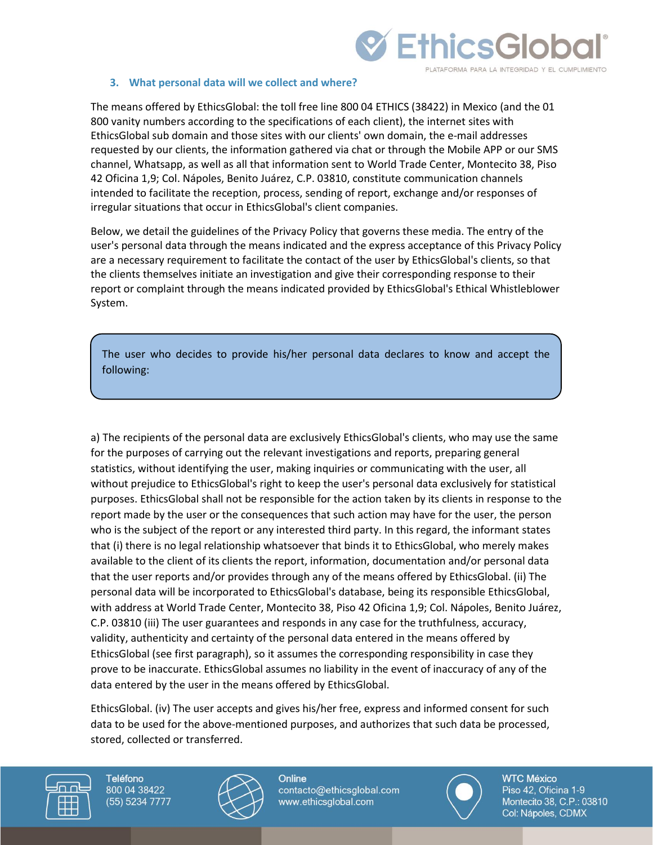

#### **3. What personal data will we collect and where?**

The means offered by EthicsGlobal: the toll free line 800 04 ETHICS (38422) in Mexico (and the 01 800 vanity numbers according to the specifications of each client), the internet sites with EthicsGlobal sub domain and those sites with our clients' own domain, the e-mail addresses requested by our clients, the information gathered via chat or through the Mobile APP or our SMS channel, Whatsapp, as well as all that information sent to World Trade Center, Montecito 38, Piso 42 Oficina 1,9; Col. Nápoles, Benito Juárez, C.P. 03810, constitute communication channels intended to facilitate the reception, process, sending of report, exchange and/or responses of irregular situations that occur in EthicsGlobal's client companies.

Below, we detail the guidelines of the Privacy Policy that governs these media. The entry of the user's personal data through the means indicated and the express acceptance of this Privacy Policy are a necessary requirement to facilitate the contact of the user by EthicsGlobal's clients, so that the clients themselves initiate an investigation and give their corresponding response to their report or complaint through the means indicated provided by EthicsGlobal's Ethical Whistleblower System.

The user who decides to provide his/her personal data declares to know and accept the following:

a) The recipients of the personal data are exclusively EthicsGlobal's clients, who may use the same for the purposes of carrying out the relevant investigations and reports, preparing general statistics, without identifying the user, making inquiries or communicating with the user, all without prejudice to EthicsGlobal's right to keep the user's personal data exclusively for statistical purposes. EthicsGlobal shall not be responsible for the action taken by its clients in response to the report made by the user or the consequences that such action may have for the user, the person who is the subject of the report or any interested third party. In this regard, the informant states that (i) there is no legal relationship whatsoever that binds it to EthicsGlobal, who merely makes available to the client of its clients the report, information, documentation and/or personal data that the user reports and/or provides through any of the means offered by EthicsGlobal. (ii) The personal data will be incorporated to EthicsGlobal's database, being its responsible EthicsGlobal, with address at World Trade Center, Montecito 38, Piso 42 Oficina 1,9; Col. Nápoles, Benito Juárez, C.P. 03810 (iii) The user guarantees and responds in any case for the truthfulness, accuracy, validity, authenticity and certainty of the personal data entered in the means offered by EthicsGlobal (see first paragraph), so it assumes the corresponding responsibility in case they prove to be inaccurate. EthicsGlobal assumes no liability in the event of inaccuracy of any of the data entered by the user in the means offered by EthicsGlobal.

EthicsGlobal. (iv) The user accepts and gives his/her free, express and informed consent for such data to be used for the above-mentioned purposes, and authorizes that such data be processed, stored, collected or transferred.





Online contacto@ethicsglobal.com www.ethicsglobal.com

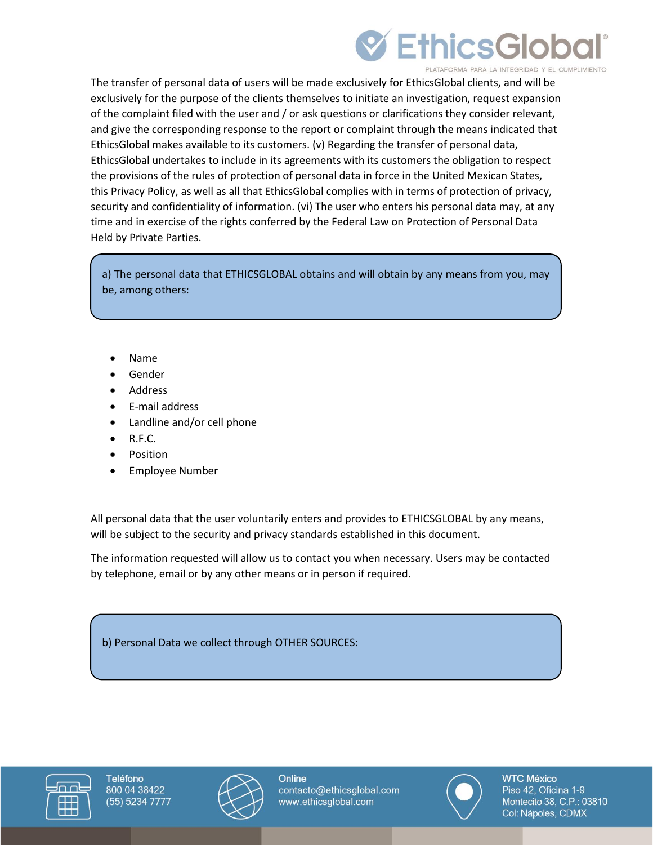# **EthicsGlob**

**PLATAFORMA PARA LA INTEGRIDAD Y EL CUMPLIMIENTO** 

The transfer of personal data of users will be made exclusively for EthicsGlobal clients, and will be exclusively for the purpose of the clients themselves to initiate an investigation, request expansion of the complaint filed with the user and / or ask questions or clarifications they consider relevant, and give the corresponding response to the report or complaint through the means indicated that EthicsGlobal makes available to its customers. (v) Regarding the transfer of personal data, EthicsGlobal undertakes to include in its agreements with its customers the obligation to respect the provisions of the rules of protection of personal data in force in the United Mexican States, this Privacy Policy, as well as all that EthicsGlobal complies with in terms of protection of privacy, security and confidentiality of information. (vi) The user who enters his personal data may, at any time and in exercise of the rights conferred by the Federal Law on Protection of Personal Data Held by Private Parties.

a) The personal data that ETHICSGLOBAL obtains and will obtain by any means from you, may be, among others:

- Name
- **Gender**
- **Address**
- E-mail address
- Landline and/or cell phone
- R.F.C.
- Position
- Employee Number

All personal data that the user voluntarily enters and provides to ETHICSGLOBAL by any means, will be subject to the security and privacy standards established in this document.

The information requested will allow us to contact you when necessary. Users may be contacted by telephone, email or by any other means or in person if required.

b) Personal Data we collect through OTHER SOURCES:





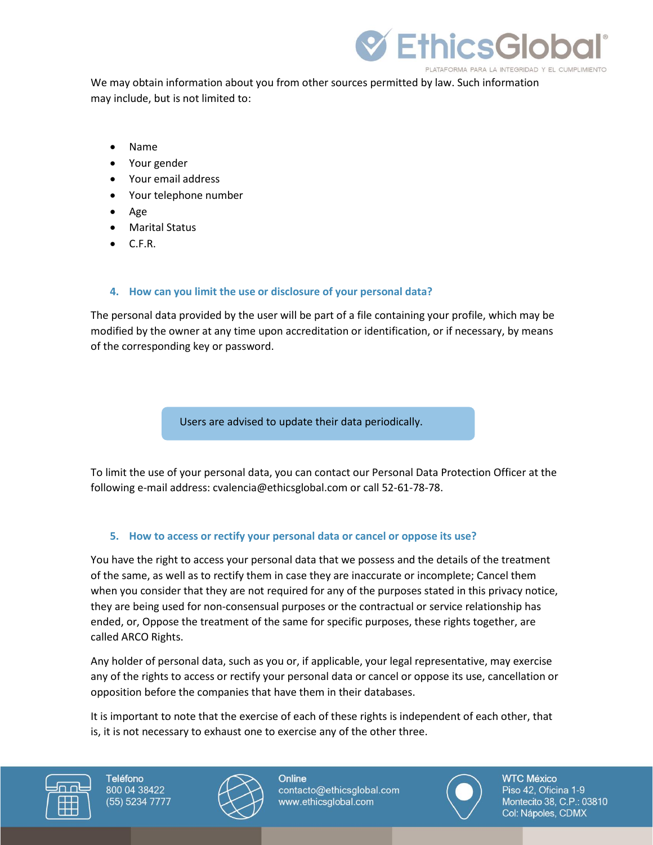

We may obtain information about you from other sources permitted by law. Such information may include, but is not limited to:

- Name
- Your gender
- Your email address
- Your telephone number
- Age
- Marital Status
- C.F.R.

# **4. How can you limit the use or disclosure of your personal data?**

The personal data provided by the user will be part of a file containing your profile, which may be modified by the owner at any time upon accreditation or identification, or if necessary, by means of the corresponding key or password.

Users are advised to update their data periodically.

To limit the use of your personal data, you can contact our Personal Data Protection Officer at the following e-mail address: cvalencia@ethicsglobal.com or call 52-61-78-78.

# **5. How to access or rectify your personal data or cancel or oppose its use?**

You have the right to access your personal data that we possess and the details of the treatment of the same, as well as to rectify them in case they are inaccurate or incomplete; Cancel them when you consider that they are not required for any of the purposes stated in this privacy notice, they are being used for non-consensual purposes or the contractual or service relationship has ended, or, Oppose the treatment of the same for specific purposes, these rights together, are called ARCO Rights.

Any holder of personal data, such as you or, if applicable, your legal representative, may exercise any of the rights to access or rectify your personal data or cancel or oppose its use, cancellation or opposition before the companies that have them in their databases.

It is important to note that the exercise of each of these rights is independent of each other, that is, it is not necessary to exhaust one to exercise any of the other three.





Online contacto@ethicsglobal.com www.ethicsglobal.com

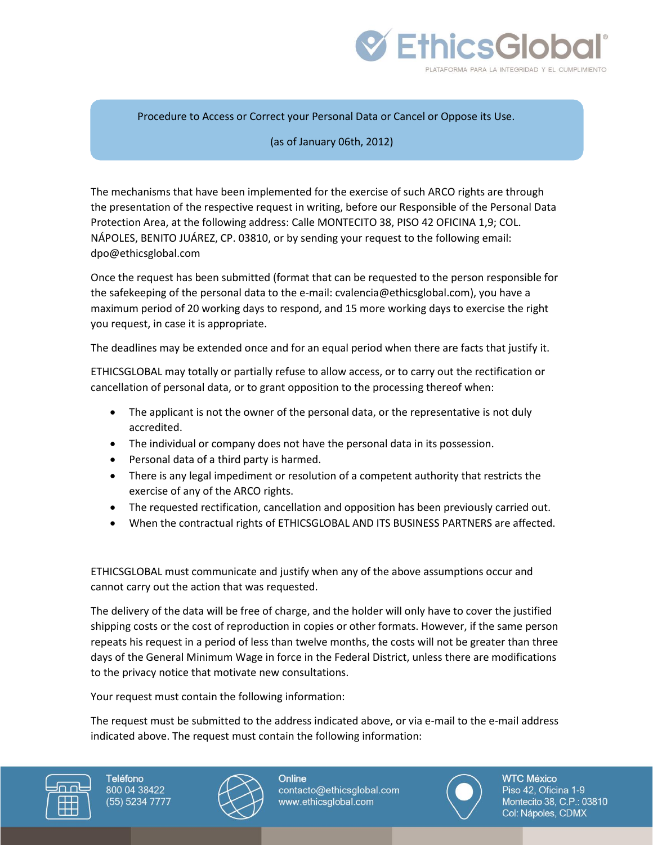

Procedure to Access or Correct your Personal Data or Cancel or Oppose its Use.

#### (as of January 06th, 2012)

The mechanisms that have been implemented for the exercise of such ARCO rights are through the presentation of the respective request in writing, before our Responsible of the Personal Data Protection Area, at the following address: Calle MONTECITO 38, PISO 42 OFICINA 1,9; COL. NÁPOLES, BENITO JUÁREZ, CP. 03810, or by sending your request to the following email: dpo@ethicsglobal.com

Once the request has been submitted (format that can be requested to the person responsible for the safekeeping of the personal data to the e-mail: cvalencia@ethicsglobal.com), you have a maximum period of 20 working days to respond, and 15 more working days to exercise the right you request, in case it is appropriate.

The deadlines may be extended once and for an equal period when there are facts that justify it.

ETHICSGLOBAL may totally or partially refuse to allow access, or to carry out the rectification or cancellation of personal data, or to grant opposition to the processing thereof when:

- The applicant is not the owner of the personal data, or the representative is not duly accredited.
- The individual or company does not have the personal data in its possession.
- Personal data of a third party is harmed.
- There is any legal impediment or resolution of a competent authority that restricts the exercise of any of the ARCO rights.
- The requested rectification, cancellation and opposition has been previously carried out.
- When the contractual rights of ETHICSGLOBAL AND ITS BUSINESS PARTNERS are affected.

ETHICSGLOBAL must communicate and justify when any of the above assumptions occur and cannot carry out the action that was requested.

The delivery of the data will be free of charge, and the holder will only have to cover the justified shipping costs or the cost of reproduction in copies or other formats. However, if the same person repeats his request in a period of less than twelve months, the costs will not be greater than three days of the General Minimum Wage in force in the Federal District, unless there are modifications to the privacy notice that motivate new consultations.

Your request must contain the following information:

The request must be submitted to the address indicated above, or via e-mail to the e-mail address indicated above. The request must contain the following information:





Online contacto@ethicsglobal.com www.ethicsglobal.com

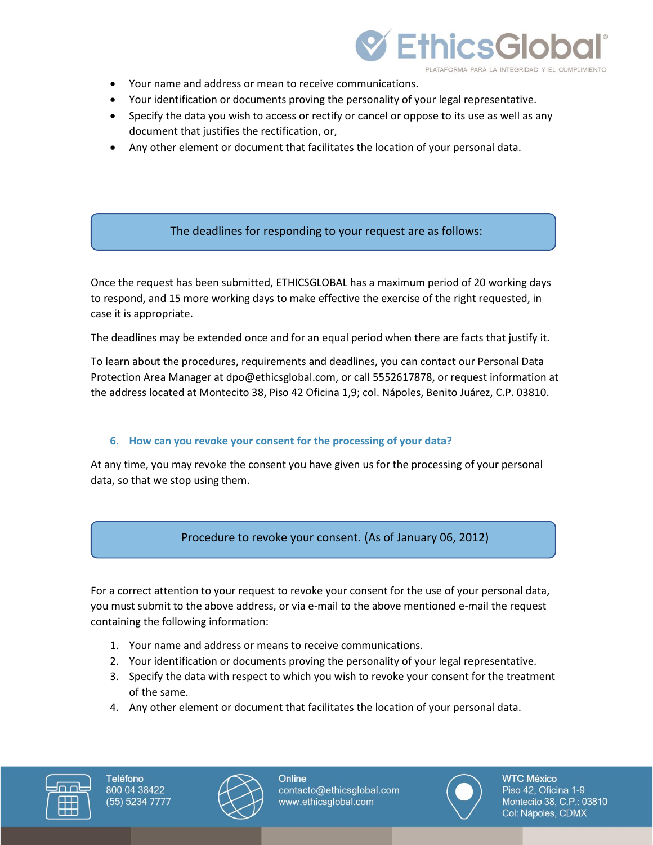

- Your name and address or mean to receive communications.
- Your identification or documents proving the personality of your legal representative.
- Specify the data you wish to access or rectify or cancel or oppose to its use as well as any document that justifies the rectification, or,
- Any other element or document that facilitates the location of your personal data.

# The deadlines for responding to your request are as follows:

Once the request has been submitted, ETHICSGLOBAL has a maximum period of 20 working days to respond, and 15 more working days to make effective the exercise of the right requested, in case it is appropriate.

The deadlines may be extended once and for an equal period when there are facts that justify it.

To learn about the procedures, requirements and deadlines, you can contact our Personal Data Protection Area Manager at dpo@ethicsglobal.com, or call 5552617878, or request information at the address located at Montecito 38, Piso 42 Oficina 1,9; col. Nápoles, Benito Juárez, C.P. 03810.

### **6. How can you revoke your consent for the processing of your data?**

At any time, you may revoke the consent you have given us for the processing of your personal data, so that we stop using them.

# Procedure to revoke your consent. (As of January 06, 2012)

For a correct attention to your request to revoke your consent for the use of your personal data, you must submit to the above address, or via e-mail to the above mentioned e-mail the request containing the following information:

- 1. Your name and address or means to receive communications.
- 2. Your identification or documents proving the personality of your legal representative.
- 3. Specify the data with respect to which you wish to revoke your consent for the treatment of the same.
- 4. Any other element or document that facilitates the location of your personal data.





Online contacto@ethicsglobal.com www.ethicsglobal.com

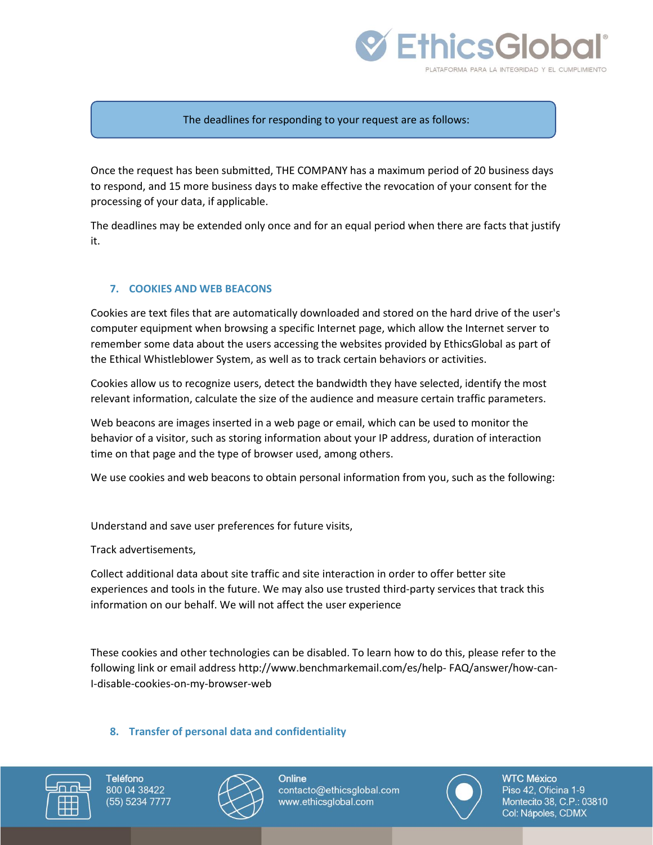

#### The deadlines for responding to your request are as follows:

Once the request has been submitted, THE COMPANY has a maximum period of 20 business days to respond, and 15 more business days to make effective the revocation of your consent for the processing of your data, if applicable.

The deadlines may be extended only once and for an equal period when there are facts that justify it.

#### **7. COOKIES AND WEB BEACONS**

Cookies are text files that are automatically downloaded and stored on the hard drive of the user's computer equipment when browsing a specific Internet page, which allow the Internet server to remember some data about the users accessing the websites provided by EthicsGlobal as part of the Ethical Whistleblower System, as well as to track certain behaviors or activities.

Cookies allow us to recognize users, detect the bandwidth they have selected, identify the most relevant information, calculate the size of the audience and measure certain traffic parameters.

Web beacons are images inserted in a web page or email, which can be used to monitor the behavior of a visitor, such as storing information about your IP address, duration of interaction time on that page and the type of browser used, among others.

We use cookies and web beacons to obtain personal information from you, such as the following:

Understand and save user preferences for future visits,

Track advertisements,

Collect additional data about site traffic and site interaction in order to offer better site experiences and tools in the future. We may also use trusted third-party services that track this information on our behalf. We will not affect the user experience

These cookies and other technologies can be disabled. To learn how to do this, please refer to the following link or email address http://www.benchmarkemail.com/es/help- FAQ/answer/how-can-I-disable-cookies-on-my-browser-web

#### **8. Transfer of personal data and confidentiality**





Online contacto@ethicsglobal.com www.ethicsglobal.com

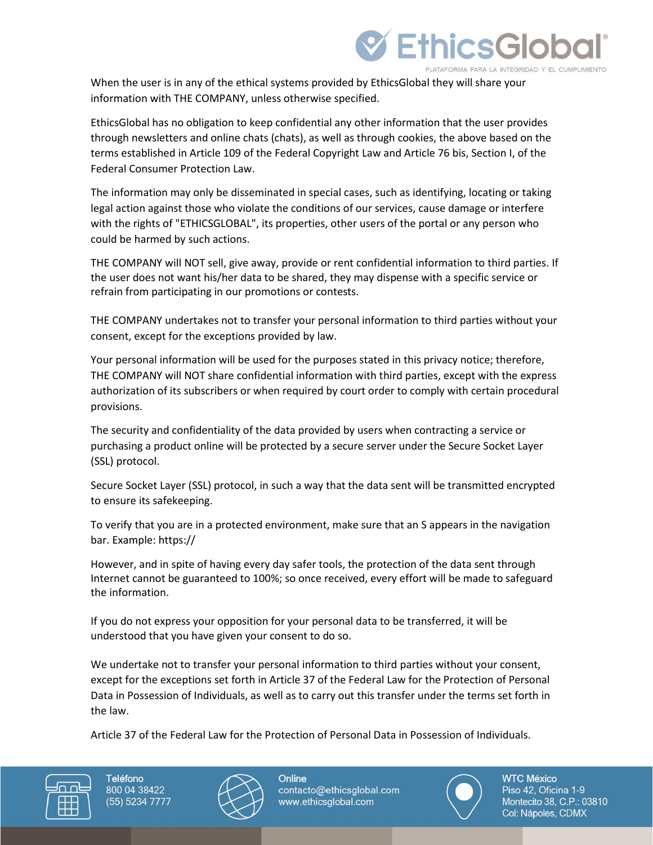

When the user is in any of the ethical systems provided by EthicsGlobal they will share your information with THE COMPANY, unless otherwise specified.

EthicsGlobal has no obligation to keep confidential any other information that the user provides through newsletters and online chats (chats), as well as through cookies, the above based on the terms established in Article 109 of the Federal Copyright Law and Article 76 bis, Section I, of the Federal Consumer Protection Law.

The information may only be disseminated in special cases, such as identifying, locating or taking legal action against those who violate the conditions of our services, cause damage or interfere with the rights of "ETHICSGLOBAL", its properties, other users of the portal or any person who could be harmed by such actions.

THE COMPANY will NOT sell, give away, provide or rent confidential information to third parties. If the user does not want his/her data to be shared, they may dispense with a specific service or refrain from participating in our promotions or contests.

THE COMPANY undertakes not to transfer your personal information to third parties without your consent, except for the exceptions provided by law.

Your personal information will be used for the purposes stated in this privacy notice; therefore, THE COMPANY will NOT share confidential information with third parties, except with the express authorization of its subscribers or when required by court order to comply with certain procedural provisions.

The security and confidentiality of the data provided by users when contracting a service or purchasing a product online will be protected by a secure server under the Secure Socket Layer (SSL) protocol.

Secure Socket Layer (SSL) protocol, in such a way that the data sent will be transmitted encrypted to ensure its safekeeping.

To verify that you are in a protected environment, make sure that an S appears in the navigation bar. Example: https://

However, and in spite of having every day safer tools, the protection of the data sent through Internet cannot be guaranteed to 100%; so once received, every effort will be made to safeguard the information.

If you do not express your opposition for your personal data to be transferred, it will be understood that you have given your consent to do so.

We undertake not to transfer your personal information to third parties without your consent, except for the exceptions set forth in Article 37 of the Federal Law for the Protection of Personal Data in Possession of Individuals, as well as to carry out this transfer under the terms set forth in the law.

Article 37 of the Federal Law for the Protection of Personal Data in Possession of Individuals.





Online contacto@ethicsglobal.com www.ethicsglobal.com

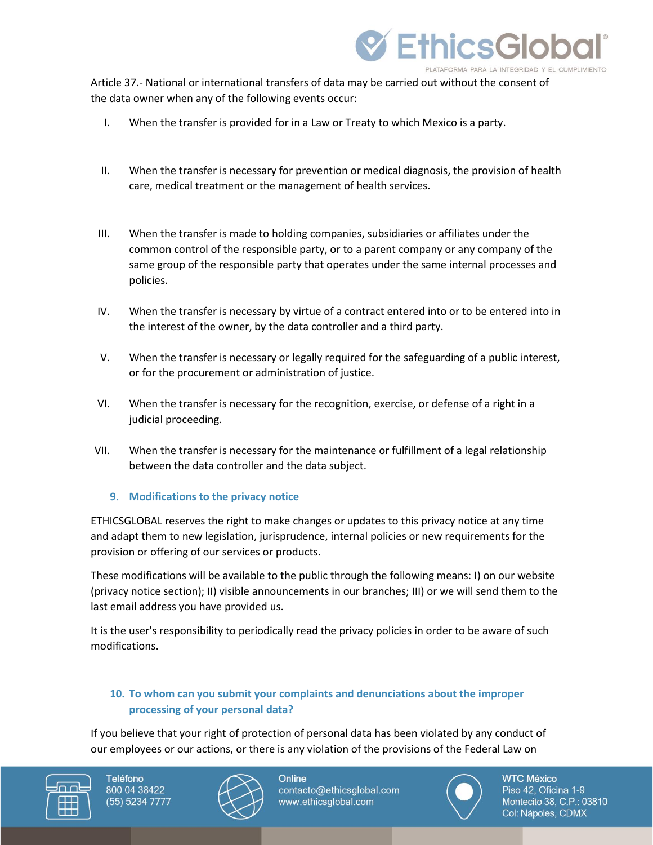

Article 37.- National or international transfers of data may be carried out without the consent of the data owner when any of the following events occur:

- I. When the transfer is provided for in a Law or Treaty to which Mexico is a party.
- II. When the transfer is necessary for prevention or medical diagnosis, the provision of health care, medical treatment or the management of health services.
- III. When the transfer is made to holding companies, subsidiaries or affiliates under the common control of the responsible party, or to a parent company or any company of the same group of the responsible party that operates under the same internal processes and policies.
- IV. When the transfer is necessary by virtue of a contract entered into or to be entered into in the interest of the owner, by the data controller and a third party.
- V. When the transfer is necessary or legally required for the safeguarding of a public interest, or for the procurement or administration of justice.
- VI. When the transfer is necessary for the recognition, exercise, or defense of a right in a judicial proceeding.
- VII. When the transfer is necessary for the maintenance or fulfillment of a legal relationship between the data controller and the data subject.

### **9. Modifications to the privacy notice**

ETHICSGLOBAL reserves the right to make changes or updates to this privacy notice at any time and adapt them to new legislation, jurisprudence, internal policies or new requirements for the provision or offering of our services or products.

These modifications will be available to the public through the following means: I) on our website (privacy notice section); II) visible announcements in our branches; III) or we will send them to the last email address you have provided us.

It is the user's responsibility to periodically read the privacy policies in order to be aware of such modifications.

# **10. To whom can you submit your complaints and denunciations about the improper processing of your personal data?**

If you believe that your right of protection of personal data has been violated by any conduct of our employees or our actions, or there is any violation of the provisions of the Federal Law on





Online contacto@ethicsglobal.com www.ethicsglobal.com